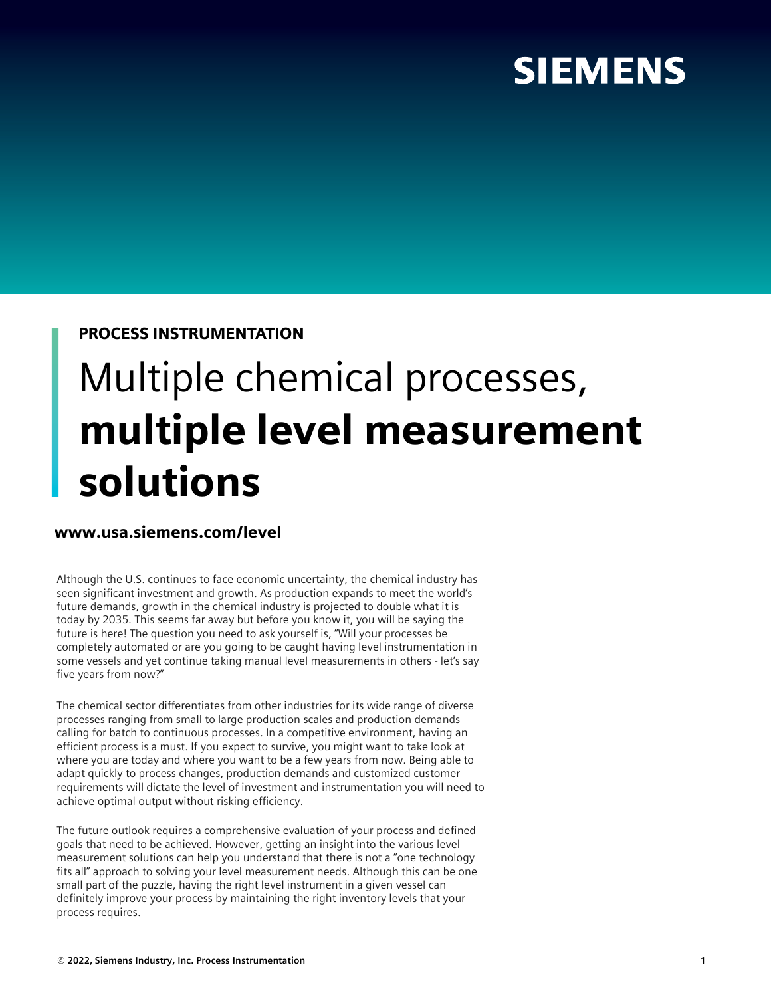## **SIEMENS**

### PROCESS INSTRUMENTATION

# Multiple chemical processes, multiple level measurement solutions

### www.usa.siemens.com/level

Although the U.S. continues to face economic uncertainty, the chemical industry has seen significant investment and growth. As production expands to meet the world's future demands, growth in the chemical industry is projected to double what it is today by 2035. This seems far away but before you know it, you will be saying the future is here! The question you need to ask yourself is, "Will your processes be completely automated or are you going to be caught having level instrumentation in some vessels and yet continue taking manual level measurements in others - let's say five years from now?"

The chemical sector differentiates from other industries for its wide range of diverse processes ranging from small to large production scales and production demands calling for batch to continuous processes. In a competitive environment, having an efficient process is a must. If you expect to survive, you might want to take look at where you are today and where you want to be a few years from now. Being able to adapt quickly to process changes, production demands and customized customer requirements will dictate the level of investment and instrumentation you will need to achieve optimal output without risking efficiency.

The future outlook requires a comprehensive evaluation of your process and defined goals that need to be achieved. However, getting an insight into the various level measurement solutions can help you understand that there is not a "one technology fits all" approach to solving your level measurement needs. Although this can be one small part of the puzzle, having the right level instrument in a given vessel can definitely improve your process by maintaining the right inventory levels that your process requires.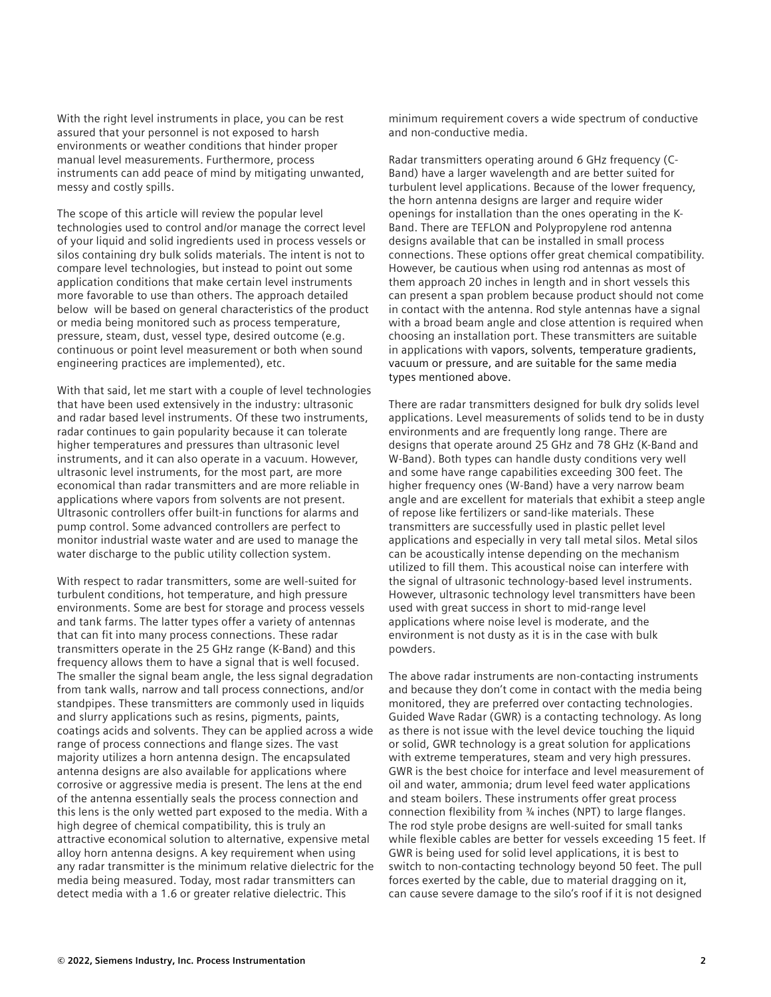With the right level instruments in place, you can be rest assured that your personnel is not exposed to harsh environments or weather conditions that hinder proper manual level measurements. Furthermore, process instruments can add peace of mind by mitigating unwanted, messy and costly spills.

The scope of this article will review the popular level technologies used to control and/or manage the correct level of your liquid and solid ingredients used in process vessels or silos containing dry bulk solids materials. The intent is not to compare level technologies, but instead to point out some application conditions that make certain level instruments more favorable to use than others. The approach detailed below will be based on general characteristics of the product or media being monitored such as process temperature, pressure, steam, dust, vessel type, desired outcome (e.g. continuous or point level measurement or both when sound engineering practices are implemented), etc.

With that said, let me start with a couple of level technologies that have been used extensively in the industry: ultrasonic and radar based level instruments. Of these two instruments, radar continues to gain popularity because it can tolerate higher temperatures and pressures than ultrasonic level instruments, and it can also operate in a vacuum. However, ultrasonic level instruments, for the most part, are more economical than radar transmitters and are more reliable in applications where vapors from solvents are not present. Ultrasonic controllers offer built-in functions for alarms and pump control. Some advanced controllers are perfect to monitor industrial waste water and are used to manage the water discharge to the public utility collection system.

With respect to radar transmitters, some are well-suited for turbulent conditions, hot temperature, and high pressure environments. Some are best for storage and process vessels and tank farms. The latter types offer a variety of antennas that can fit into many process connections. These radar transmitters operate in the 25 GHz range (K-Band) and this frequency allows them to have a signal that is well focused. The smaller the signal beam angle, the less signal degradation from tank walls, narrow and tall process connections, and/or standpipes. These transmitters are commonly used in liquids and slurry applications such as resins, pigments, paints, coatings acids and solvents. They can be applied across a wide range of process connections and flange sizes. The vast majority utilizes a horn antenna design. The encapsulated antenna designs are also available for applications where corrosive or aggressive media is present. The lens at the end of the antenna essentially seals the process connection and this lens is the only wetted part exposed to the media. With a high degree of chemical compatibility, this is truly an attractive economical solution to alternative, expensive metal alloy horn antenna designs. A key requirement when using any radar transmitter is the minimum relative dielectric for the media being measured. Today, most radar transmitters can detect media with a 1.6 or greater relative dielectric. This

minimum requirement covers a wide spectrum of conductive and non-conductive media.

Radar transmitters operating around 6 GHz frequency (C-Band) have a larger wavelength and are better suited for turbulent level applications. Because of the lower frequency, the horn antenna designs are larger and require wider openings for installation than the ones operating in the K-Band. There are TEFLON and Polypropylene rod antenna designs available that can be installed in small process connections. These options offer great chemical compatibility. However, be cautious when using rod antennas as most of them approach 20 inches in length and in short vessels this can present a span problem because product should not come in contact with the antenna. Rod style antennas have a signal with a broad beam angle and close attention is required when choosing an installation port. These transmitters are suitable in applications with vapors, solvents, temperature gradients, vacuum or pressure, and are suitable for the same media types mentioned above.

There are radar transmitters designed for bulk dry solids level applications. Level measurements of solids tend to be in dusty environments and are frequently long range. There are designs that operate around 25 GHz and 78 GHz (K-Band and W-Band). Both types can handle dusty conditions very well and some have range capabilities exceeding 300 feet. The higher frequency ones (W-Band) have a very narrow beam angle and are excellent for materials that exhibit a steep angle of repose like fertilizers or sand-like materials. These transmitters are successfully used in plastic pellet level applications and especially in very tall metal silos. Metal silos can be acoustically intense depending on the mechanism utilized to fill them. This acoustical noise can interfere with the signal of ultrasonic technology-based level instruments. However, ultrasonic technology level transmitters have been used with great success in short to mid-range level applications where noise level is moderate, and the environment is not dusty as it is in the case with bulk powders.

The above radar instruments are non-contacting instruments and because they don't come in contact with the media being monitored, they are preferred over contacting technologies. Guided Wave Radar (GWR) is a contacting technology. As long as there is not issue with the level device touching the liquid or solid, GWR technology is a great solution for applications with extreme temperatures, steam and very high pressures. GWR is the best choice for interface and level measurement of oil and water, ammonia; drum level feed water applications and steam boilers. These instruments offer great process connection flexibility from ¾ inches (NPT) to large flanges. The rod style probe designs are well-suited for small tanks while flexible cables are better for vessels exceeding 15 feet. If GWR is being used for solid level applications, it is best to switch to non-contacting technology beyond 50 feet. The pull forces exerted by the cable, due to material dragging on it, can cause severe damage to the silo's roof if it is not designed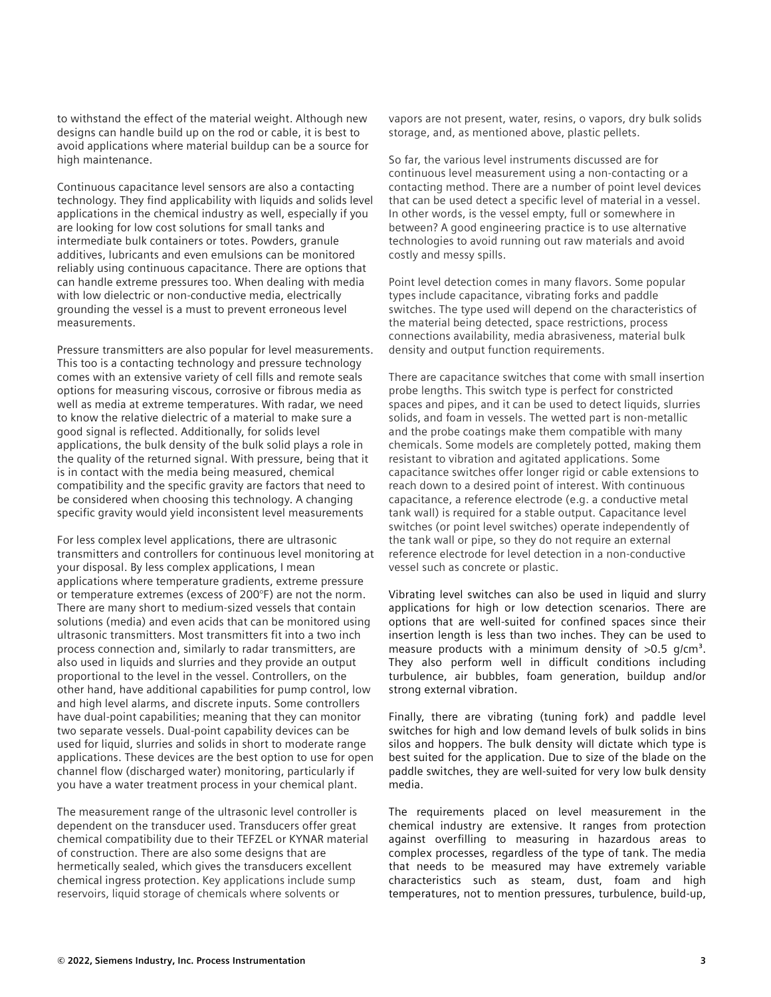to withstand the effect of the material weight. Although new designs can handle build up on the rod or cable, it is best to avoid applications where material buildup can be a source for high maintenance.

Continuous capacitance level sensors are also a contacting technology. They find applicability with liquids and solids level applications in the chemical industry as well, especially if you are looking for low cost solutions for small tanks and intermediate bulk containers or totes. Powders, granule additives, lubricants and even emulsions can be monitored reliably using continuous capacitance. There are options that can handle extreme pressures too. When dealing with media with low dielectric or non-conductive media, electrically grounding the vessel is a must to prevent erroneous level measurements.

Pressure transmitters are also popular for level measurements. This too is a contacting technology and pressure technology comes with an extensive variety of cell fills and remote seals options for measuring viscous, corrosive or fibrous media as well as media at extreme temperatures. With radar, we need to know the relative dielectric of a material to make sure a good signal is reflected. Additionally, for solids level applications, the bulk density of the bulk solid plays a role in the quality of the returned signal. With pressure, being that it is in contact with the media being measured, chemical compatibility and the specific gravity are factors that need to be considered when choosing this technology. A changing specific gravity would yield inconsistent level measurements

For less complex level applications, there are ultrasonic transmitters and controllers for continuous level monitoring at your disposal. By less complex applications, I mean applications where temperature gradients, extreme pressure or temperature extremes (excess of 200°F) are not the norm. There are many short to medium-sized vessels that contain solutions (media) and even acids that can be monitored using ultrasonic transmitters. Most transmitters fit into a two inch process connection and, similarly to radar transmitters, are also used in liquids and slurries and they provide an output proportional to the level in the vessel. Controllers, on the other hand, have additional capabilities for pump control, low and high level alarms, and discrete inputs. Some controllers have dual-point capabilities; meaning that they can monitor two separate vessels. Dual-point capability devices can be used for liquid, slurries and solids in short to moderate range applications. These devices are the best option to use for open channel flow (discharged water) monitoring, particularly if you have a water treatment process in your chemical plant.

The measurement range of the ultrasonic level controller is dependent on the transducer used. Transducers offer great chemical compatibility due to their TEFZEL or KYNAR material of construction. There are also some designs that are hermetically sealed, which gives the transducers excellent chemical ingress protection. Key applications include sump reservoirs, liquid storage of chemicals where solvents or

vapors are not present, water, resins, o vapors, dry bulk solids storage, and, as mentioned above, plastic pellets.

So far, the various level instruments discussed are for continuous level measurement using a non-contacting or a contacting method. There are a number of point level devices that can be used detect a specific level of material in a vessel. In other words, is the vessel empty, full or somewhere in between? A good engineering practice is to use alternative technologies to avoid running out raw materials and avoid costly and messy spills.

Point level detection comes in many flavors. Some popular types include capacitance, vibrating forks and paddle switches. The type used will depend on the characteristics of the material being detected, space restrictions, process connections availability, media abrasiveness, material bulk density and output function requirements.

There are capacitance switches that come with small insertion probe lengths. This switch type is perfect for constricted spaces and pipes, and it can be used to detect liquids, slurries solids, and foam in vessels. The wetted part is non-metallic and the probe coatings make them compatible with many chemicals. Some models are completely potted, making them resistant to vibration and agitated applications. Some capacitance switches offer longer rigid or cable extensions to reach down to a desired point of interest. With continuous capacitance, a reference electrode (e.g. a conductive metal tank wall) is required for a stable output. Capacitance level switches (or point level switches) operate independently of the tank wall or pipe, so they do not require an external reference electrode for level detection in a non-conductive vessel such as concrete or plastic.

Vibrating level switches can also be used in liquid and slurry applications for high or low detection scenarios. There are options that are well-suited for confined spaces since their insertion length is less than two inches. They can be used to measure products with a minimum density of  $>0.5$  g/cm<sup>3</sup>. They also perform well in difficult conditions including turbulence, air bubbles, foam generation, buildup and/or strong external vibration.

Finally, there are vibrating (tuning fork) and paddle level switches for high and low demand levels of bulk solids in bins silos and hoppers. The bulk density will dictate which type is best suited for the application. Due to size of the blade on the paddle switches, they are well-suited for very low bulk density media.

The requirements placed on level measurement in the chemical industry are extensive. It ranges from protection against overfilling to measuring in hazardous areas to complex processes, regardless of the type of tank. The media that needs to be measured may have extremely variable characteristics such as steam, dust, foam and high temperatures, not to mention pressures, turbulence, build-up,